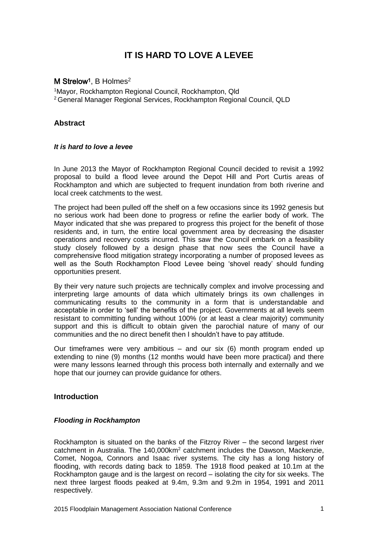# **IT IS HARD TO LOVE A LEVEE**

# M Strelow<sup>1</sup>, B Holmes<sup>2</sup>

<sup>1</sup>Mayor, Rockhampton Regional Council, Rockhampton, Qld <sup>2</sup>General Manager Regional Services, Rockhampton Regional Council, QLD

# **Abstract**

### *It is hard to love a levee*

In June 2013 the Mayor of Rockhampton Regional Council decided to revisit a 1992 proposal to build a flood levee around the Depot Hill and Port Curtis areas of Rockhampton and which are subjected to frequent inundation from both riverine and local creek catchments to the west.

The project had been pulled off the shelf on a few occasions since its 1992 genesis but no serious work had been done to progress or refine the earlier body of work. The Mayor indicated that she was prepared to progress this project for the benefit of those residents and, in turn, the entire local government area by decreasing the disaster operations and recovery costs incurred. This saw the Council embark on a feasibility study closely followed by a design phase that now sees the Council have a comprehensive flood mitigation strategy incorporating a number of proposed levees as well as the South Rockhampton Flood Levee being 'shovel ready' should funding opportunities present.

By their very nature such projects are technically complex and involve processing and interpreting large amounts of data which ultimately brings its own challenges in communicating results to the community in a form that is understandable and acceptable in order to 'sell' the benefits of the project. Governments at all levels seem resistant to committing funding without 100% (or at least a clear majority) community support and this is difficult to obtain given the parochial nature of many of our communities and the no direct benefit then I shouldn't have to pay attitude.

Our timeframes were very ambitious – and our six (6) month program ended up extending to nine (9) months (12 months would have been more practical) and there were many lessons learned through this process both internally and externally and we hope that our journey can provide quidance for others.

# **Introduction**

# *Flooding in Rockhampton*

Rockhampton is situated on the banks of the Fitzroy River – the second largest river catchment in Australia. The 140,000km<sup>2</sup> catchment includes the Dawson, Mackenzie, Comet, Nogoa, Connors and Isaac river systems. The city has a long history of flooding, with records dating back to 1859. The 1918 flood peaked at 10.1m at the Rockhampton gauge and is the largest on record – isolating the city for six weeks. The next three largest floods peaked at 9.4m, 9.3m and 9.2m in 1954, 1991 and 2011 respectively.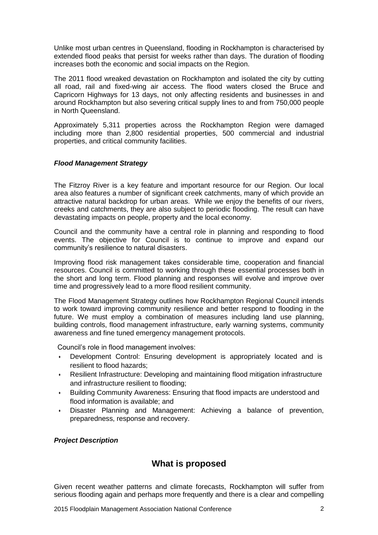Unlike most urban centres in Queensland, flooding in Rockhampton is characterised by extended flood peaks that persist for weeks rather than days. The duration of flooding increases both the economic and social impacts on the Region.

The 2011 flood wreaked devastation on Rockhampton and isolated the city by cutting all road, rail and fixed-wing air access. The flood waters closed the Bruce and Capricorn Highways for 13 days, not only affecting residents and businesses in and around Rockhampton but also severing critical supply lines to and from 750,000 people in North Queensland.

Approximately 5,311 properties across the Rockhampton Region were damaged including more than 2,800 residential properties, 500 commercial and industrial properties, and critical community facilities.

# *Flood Management Strategy*

The Fitzroy River is a key feature and important resource for our Region. Our local area also features a number of significant creek catchments, many of which provide an attractive natural backdrop for urban areas. While we enjoy the benefits of our rivers, creeks and catchments, they are also subject to periodic flooding. The result can have devastating impacts on people, property and the local economy.

Council and the community have a central role in planning and responding to flood events. The objective for Council is to continue to improve and expand our community's resilience to natural disasters.

Improving flood risk management takes considerable time, cooperation and financial resources. Council is committed to working through these essential processes both in the short and long term. Flood planning and responses will evolve and improve over time and progressively lead to a more flood resilient community.

The Flood Management Strategy outlines how Rockhampton Regional Council intends to work toward improving community resilience and better respond to flooding in the future. We must employ a combination of measures including land use planning, building controls, flood management infrastructure, early warning systems, community awareness and fine tuned emergency management protocols.

Council's role in flood management involves:

- **•** Development Control: Ensuring development is appropriately located and is resilient to flood hazards;
- **•** Resilient Infrastructure: Developing and maintaining flood mitigation infrastructure and infrastructure resilient to flooding;
- **•** Building Community Awareness: Ensuring that flood impacts are understood and flood information is available; and
- **•** Disaster Planning and Management: Achieving a balance of prevention, preparedness, response and recovery.

# *Project Description*

# **What is proposed**

Given recent weather patterns and climate forecasts, Rockhampton will suffer from serious flooding again and perhaps more frequently and there is a clear and compelling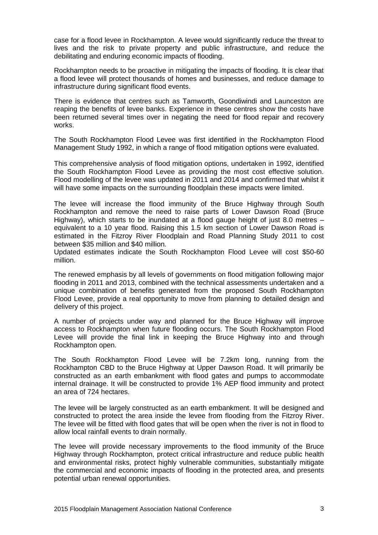case for a flood levee in Rockhampton. A levee would significantly reduce the threat to lives and the risk to private property and public infrastructure, and reduce the debilitating and enduring economic impacts of flooding.

Rockhampton needs to be proactive in mitigating the impacts of flooding. It is clear that a flood levee will protect thousands of homes and businesses, and reduce damage to infrastructure during significant flood events.

There is evidence that centres such as Tamworth, Goondiwindi and Launceston are reaping the benefits of levee banks. Experience in these centres show the costs have been returned several times over in negating the need for flood repair and recovery works.

The South Rockhampton Flood Levee was first identified in the Rockhampton Flood Management Study 1992, in which a range of flood mitigation options were evaluated.

This comprehensive analysis of flood mitigation options, undertaken in 1992, identified the South Rockhampton Flood Levee as providing the most cost effective solution. Flood modelling of the levee was updated in 2011 and 2014 and confirmed that whilst it will have some impacts on the surrounding floodplain these impacts were limited.

The levee will increase the flood immunity of the Bruce Highway through South Rockhampton and remove the need to raise parts of Lower Dawson Road (Bruce Highway), which starts to be inundated at a flood gauge height of just 8.0 metres – equivalent to a 10 year flood. Raising this 1.5 km section of Lower Dawson Road is estimated in the Fitzroy River Floodplain and Road Planning Study 2011 to cost between \$35 million and \$40 million.

Updated estimates indicate the South Rockhampton Flood Levee will cost \$50-60 million.

The renewed emphasis by all levels of governments on flood mitigation following major flooding in 2011 and 2013, combined with the technical assessments undertaken and a unique combination of benefits generated from the proposed South Rockhampton Flood Levee, provide a real opportunity to move from planning to detailed design and delivery of this project.

A number of projects under way and planned for the Bruce Highway will improve access to Rockhampton when future flooding occurs. The South Rockhampton Flood Levee will provide the final link in keeping the Bruce Highway into and through Rockhampton open.

The South Rockhampton Flood Levee will be 7.2km long, running from the Rockhampton CBD to the Bruce Highway at Upper Dawson Road. It will primarily be constructed as an earth embankment with flood gates and pumps to accommodate internal drainage. It will be constructed to provide 1% AEP flood immunity and protect an area of 724 hectares.

The levee will be largely constructed as an earth embankment. It will be designed and constructed to protect the area inside the levee from flooding from the Fitzroy River. The levee will be fitted with flood gates that will be open when the river is not in flood to allow local rainfall events to drain normally.

The levee will provide necessary improvements to the flood immunity of the Bruce Highway through Rockhampton, protect critical infrastructure and reduce public health and environmental risks, protect highly vulnerable communities, substantially mitigate the commercial and economic impacts of flooding in the protected area, and presents potential urban renewal opportunities.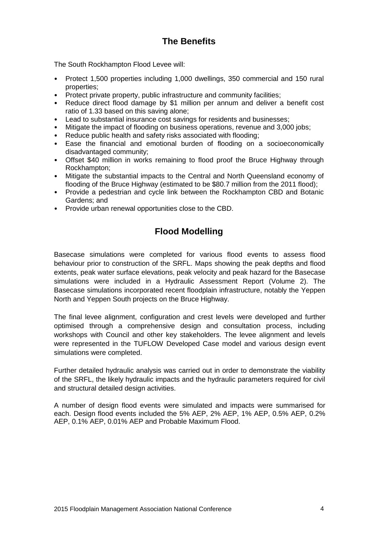# **The Benefits**

The South Rockhampton Flood Levee will:

- Protect 1,500 properties including 1,000 dwellings, 350 commercial and 150 rural properties;
- Protect private property, public infrastructure and community facilities:
- Reduce direct flood damage by \$1 million per annum and deliver a benefit cost ratio of 1.33 based on this saving alone;
- Lead to substantial insurance cost savings for residents and businesses;
- Mitigate the impact of flooding on business operations, revenue and 3,000 jobs;
- Reduce public health and safety risks associated with flooding;
- Ease the financial and emotional burden of flooding on a socioeconomically disadvantaged community;
- Offset \$40 million in works remaining to flood proof the Bruce Highway through Rockhampton;
- Mitigate the substantial impacts to the Central and North Queensland economy of flooding of the Bruce Highway (estimated to be \$80.7 million from the 2011 flood);
- Provide a pedestrian and cycle link between the Rockhampton CBD and Botanic Gardens; and
- Provide urban renewal opportunities close to the CBD.

# **Flood Modelling**

Basecase simulations were completed for various flood events to assess flood behaviour prior to construction of the SRFL. Maps showing the peak depths and flood extents, peak water surface elevations, peak velocity and peak hazard for the Basecase simulations were included in a Hydraulic Assessment Report (Volume 2). The Basecase simulations incorporated recent floodplain infrastructure, notably the Yeppen North and Yeppen South projects on the Bruce Highway.

The final levee alignment, configuration and crest levels were developed and further optimised through a comprehensive design and consultation process, including workshops with Council and other key stakeholders. The levee alignment and levels were represented in the TUFLOW Developed Case model and various design event simulations were completed.

Further detailed hydraulic analysis was carried out in order to demonstrate the viability of the SRFL, the likely hydraulic impacts and the hydraulic parameters required for civil and structural detailed design activities.

A number of design flood events were simulated and impacts were summarised for each. Design flood events included the 5% AEP, 2% AEP, 1% AEP, 0.5% AEP, 0.2% AEP, 0.1% AEP, 0.01% AEP and Probable Maximum Flood.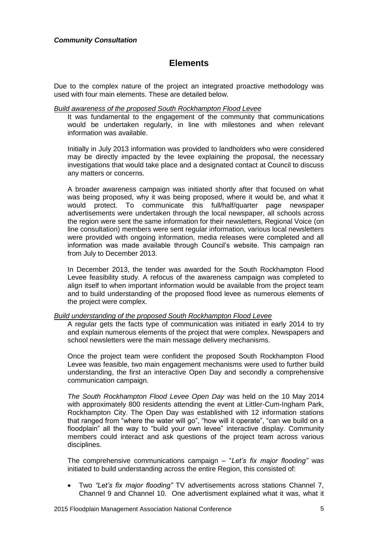# **Elements**

Due to the complex nature of the project an integrated proactive methodology was used with four main elements. These are detailed below.

#### *Build awareness of the proposed South Rockhampton Flood Levee*

It was fundamental to the engagement of the community that communications would be undertaken regularly, in line with milestones and when relevant information was available.

Initially in July 2013 information was provided to landholders who were considered may be directly impacted by the levee explaining the proposal, the necessary investigations that would take place and a designated contact at Council to discuss any matters or concerns.

A broader awareness campaign was initiated shortly after that focused on what was being proposed, why it was being proposed, where it would be, and what it would protect. To communicate this full/half/quarter page newspaper advertisements were undertaken through the local newspaper, all schools across the region were sent the same information for their newsletters, Regional Voice (on line consultation) members were sent regular information, various local newsletters were provided with ongoing information, media releases were completed and all information was made available through Council's website. This campaign ran from July to December 2013.

In December 2013, the tender was awarded for the South Rockhampton Flood Levee feasibility study. A refocus of the awareness campaign was completed to align itself to when important information would be available from the project team and to build understanding of the proposed flood levee as numerous elements of the project were complex.

## *Build understanding of the proposed South Rockhampton Flood Levee*

A regular gets the facts type of communication was initiated in early 2014 to try and explain numerous elements of the project that were complex. Newspapers and school newsletters were the main message delivery mechanisms.

Once the project team were confident the proposed South Rockhampton Flood Levee was feasible, two main engagement mechanisms were used to further build understanding, the first an interactive Open Day and secondly a comprehensive communication campaign.

*The South Rockhampton Flood Levee Open Day* was held on the 10 May 2014 with approximately 800 residents attending the event at Littler-Cum-Ingham Park, Rockhampton City. The Open Day was established with 12 information stations that ranged from "where the water will go", "how will it operate", "can we build on a floodplain" all the way to "build your own levee" interactive display. Community members could interact and ask questions of the project team across various disciplines.

The comprehensive communications campaign – "*Let's fix major flooding"* was initiated to build understanding across the entire Region, this consisted of:

 Two *"Let's fix major flooding"* TV advertisements across stations Channel 7, Channel 9 and Channel 10. One advertisment explained what it was, what it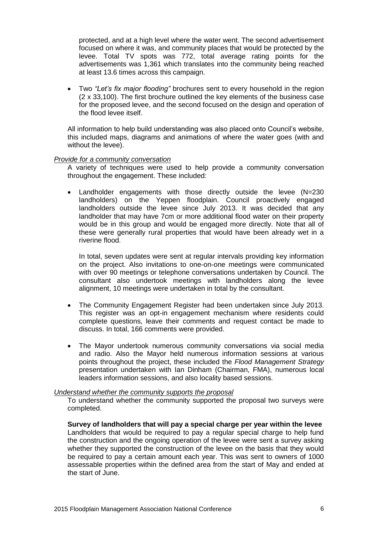protected, and at a high level where the water went. The second advertisement focused on where it was, and community places that would be protected by the levee. Total TV spots was 772, total average rating points for the advertisements was 1,361 which translates into the community being reached at least 13.6 times across this campaign.

 Two *"Let's fix major flooding"* brochures sent to every household in the region (2 x 33,100). The first brochure outlined the key elements of the business case for the proposed levee, and the second focused on the design and operation of the flood levee itself.

All information to help build understanding was also placed onto Council's website, this included maps, diagrams and animations of where the water goes (with and without the levee).

#### *Provide for a community conversation*

A variety of techniques were used to help provide a community conversation throughout the engagement. These included:

 Landholder engagements with those directly outside the levee (N=230 landholders) on the Yeppen floodplain. Council proactively engaged landholders outside the levee since July 2013. It was decided that any landholder that may have 7cm or more additional flood water on their property would be in this group and would be engaged more directly. Note that all of these were generally rural properties that would have been already wet in a riverine flood.

In total, seven updates were sent at regular intervals providing key information on the project. Also invitations to one-on-one meetings were communicated with over 90 meetings or telephone conversations undertaken by Council. The consultant also undertook meetings with landholders along the levee alignment, 10 meetings were undertaken in total by the consultant.

- The Community Engagement Register had been undertaken since July 2013. This register was an opt-in engagement mechanism where residents could complete questions, leave their comments and request contact be made to discuss. In total, 166 comments were provided.
- The Mayor undertook numerous community conversations via social media and radio. Also the Mayor held numerous information sessions at various points throughout the project, these included the *Flood Management Strategy* presentation undertaken with Ian Dinham (Chairman, FMA), numerous local leaders information sessions, and also locality based sessions.

#### *Understand whether the community supports the proposal*

To understand whether the community supported the proposal two surveys were completed.

**Survey of landholders that will pay a special charge per year within the levee** Landholders that would be required to pay a regular special charge to help fund the construction and the ongoing operation of the levee were sent a survey asking whether they supported the construction of the levee on the basis that they would be required to pay a certain amount each year. This was sent to owners of 1000 assessable properties within the defined area from the start of May and ended at the start of June.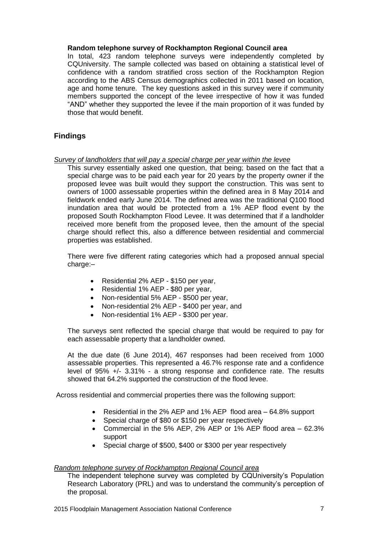### **Random telephone survey of Rockhampton Regional Council area**

In total, 423 random telephone surveys were independently completed by CQUniversity. The sample collected was based on obtaining a statistical level of confidence with a random stratified cross section of the Rockhampton Region according to the ABS Census demographics collected in 2011 based on location, age and home tenure. The key questions asked in this survey were if community members supported the concept of the levee irrespective of how it was funded "AND" whether they supported the levee if the main proportion of it was funded by those that would benefit.

# **Findings**

### *Survey of landholders that will pay a special charge per year within the levee*

This survey essentially asked one question, that being; based on the fact that a special charge was to be paid each year for 20 years by the property owner if the proposed levee was built would they support the construction. This was sent to owners of 1000 assessable properties within the defined area in 8 May 2014 and fieldwork ended early June 2014. The defined area was the traditional Q100 flood inundation area that would be protected from a 1% AEP flood event by the proposed South Rockhampton Flood Levee. It was determined that if a landholder received more benefit from the proposed levee, then the amount of the special charge should reflect this, also a difference between residential and commercial properties was established.

There were five different rating categories which had a proposed annual special charge:-

- Residential 2% AEP \$150 per year,
- Residential 1% AEP \$80 per year,
- Non-residential 5% AEP \$500 per year,
- Non-residential 2% AEP \$400 per year, and
- Non-residential 1% AEP \$300 per year.

The surveys sent reflected the special charge that would be required to pay for each assessable property that a landholder owned.

At the due date (6 June 2014), 467 responses had been received from 1000 assessable properties. This represented a 46.7% response rate and a confidence level of 95% +/- 3.31% - a strong response and confidence rate. The results showed that 64.2% supported the construction of the flood levee.

Across residential and commercial properties there was the following support:

- Residential in the 2% AEP and 1% AEP flood area 64.8% support
- Special charge of \$80 or \$150 per year respectively
- Commercial in the 5% AEP, 2% AEP or 1% AEP flood area 62.3% support
- Special charge of \$500, \$400 or \$300 per year respectively

#### *Random telephone survey of Rockhampton Regional Council area*

The independent telephone survey was completed by CQUniversity's Population Research Laboratory (PRL) and was to understand the community's perception of the proposal.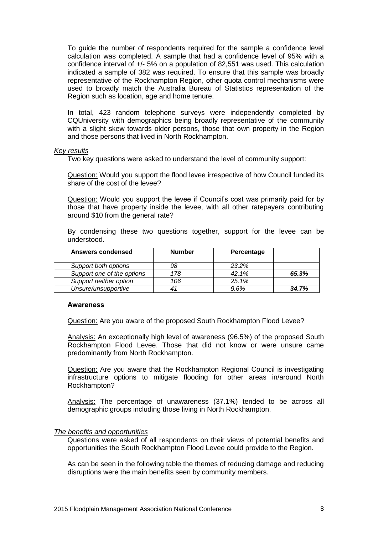To guide the number of respondents required for the sample a confidence level calculation was completed. A sample that had a confidence level of 95% with a confidence interval of +/- 5% on a population of 82,551 was used. This calculation indicated a sample of 382 was required. To ensure that this sample was broadly representative of the Rockhampton Region, other quota control mechanisms were used to broadly match the Australia Bureau of Statistics representation of the Region such as location, age and home tenure.

In total, 423 random telephone surveys were independently completed by CQUniversity with demographics being broadly representative of the community with a slight skew towards older persons, those that own property in the Region and those persons that lived in North Rockhampton.

#### *Key results*

Two key questions were asked to understand the level of community support:

Question: Would you support the flood levee irrespective of how Council funded its share of the cost of the levee?

Question: Would you support the levee if Council's cost was primarily paid for by those that have property inside the levee, with all other ratepayers contributing around \$10 from the general rate?

By condensing these two questions together, support for the levee can be understood.

| <b>Answers condensed</b>   | <b>Number</b> | Percentage |       |
|----------------------------|---------------|------------|-------|
| Support both options       | 98            | 23.2%      |       |
| Support one of the options | 178           | 42.1%      | 65.3% |
| Support neither option     | 106           | 25.1%      |       |
| Unsure/unsupportive        |               | 9.6%       | 34.7% |

#### **Awareness**

Question: Are you aware of the proposed South Rockhampton Flood Levee?

Analysis: An exceptionally high level of awareness (96.5%) of the proposed South Rockhampton Flood Levee. Those that did not know or were unsure came predominantly from North Rockhampton.

Question: Are you aware that the Rockhampton Regional Council is investigating infrastructure options to mitigate flooding for other areas in/around North Rockhampton?

Analysis: The percentage of unawareness (37.1%) tended to be across all demographic groups including those living in North Rockhampton.

#### *The benefits and opportunities*

Questions were asked of all respondents on their views of potential benefits and opportunities the South Rockhampton Flood Levee could provide to the Region.

As can be seen in the following table the themes of reducing damage and reducing disruptions were the main benefits seen by community members.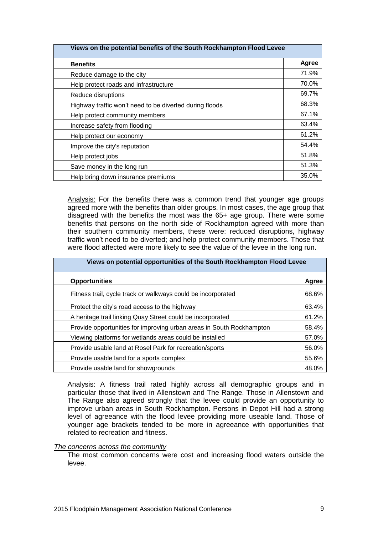| Views on the potential benefits of the South Rockhampton Flood Levee |       |  |
|----------------------------------------------------------------------|-------|--|
| <b>Benefits</b>                                                      | Agree |  |
| Reduce damage to the city                                            | 71.9% |  |
| Help protect roads and infrastructure                                | 70.0% |  |
| Reduce disruptions                                                   | 69.7% |  |
| Highway traffic won't need to be diverted during floods              | 68.3% |  |
| Help protect community members                                       | 67.1% |  |
| Increase safety from flooding                                        | 63.4% |  |
| Help protect our economy                                             | 61.2% |  |
| Improve the city's reputation                                        | 54.4% |  |
| Help protect jobs                                                    | 51.8% |  |
| Save money in the long run                                           | 51.3% |  |
| Help bring down insurance premiums                                   | 35.0% |  |

Analysis: For the benefits there was a common trend that younger age groups agreed more with the benefits than older groups. In most cases, the age group that disagreed with the benefits the most was the 65+ age group. There were some benefits that persons on the north side of Rockhampton agreed with more than their southern community members, these were: reduced disruptions, highway traffic won't need to be diverted; and help protect community members. Those that were flood affected were more likely to see the value of the levee in the long run.

| Views on potential opportunities of the South Rockhampton Flood Levee |       |  |
|-----------------------------------------------------------------------|-------|--|
| <b>Opportunities</b>                                                  | Agree |  |
| Fitness trail, cycle track or walkways could be incorporated          | 68.6% |  |
| Protect the city's road access to the highway                         | 63.4% |  |
| A heritage trail linking Quay Street could be incorporated            | 61.2% |  |
| Provide opportunities for improving urban areas in South Rockhampton  | 58.4% |  |
| Viewing platforms for wetlands areas could be installed               | 57.0% |  |
| Provide usable land at Rosel Park for recreation/sports               | 56.0% |  |
| Provide usable land for a sports complex                              | 55.6% |  |
| Provide usable land for showgrounds                                   | 48.0% |  |

Analysis: A fitness trail rated highly across all demographic groups and in particular those that lived in Allenstown and The Range. Those in Allenstown and The Range also agreed strongly that the levee could provide an opportunity to improve urban areas in South Rockhampton. Persons in Depot Hill had a strong level of agreeance with the flood levee providing more useable land. Those of younger age brackets tended to be more in agreeance with opportunities that related to recreation and fitness.

#### *The concerns across the community*

The most common concerns were cost and increasing flood waters outside the levee.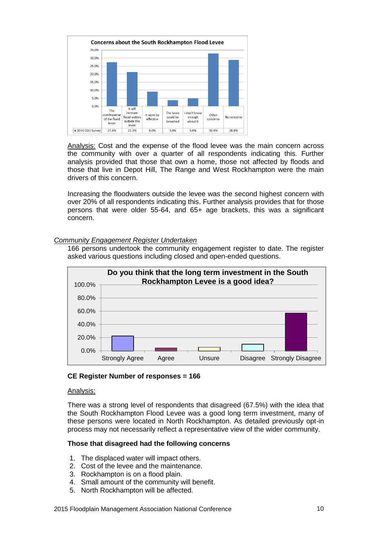

Analysis: Cost and the expense of the flood levee was the main concern across the community with over a quarter of all respondents indicating this. Further analysis provided that those that own a home, those not affected by floods and those that live in Depot Hill, The Range and West Rockhampton were the main drivers of this concern.

Increasing the floodwaters outside the levee was the second highest concern with over 20% of all respondents indicating this. Further analysis provides that for those persons that were older 55-64, and 65+ age brackets, this was a significant concern.

# *Community Engagement Register Undertaken*

166 persons undertook the community engagement register to date. The register asked various questions including closed and open-ended questions.



# **CE Register Number of responses = 166**

#### Analysis:

There was a strong level of respondents that disagreed (67.5%) with the idea that the South Rockhampton Flood Levee was a good long term investment, many of these persons were located in North Rockhampton. As detailed previously opt-in process may not necessarily reflect a representative view of the wider community.

# **Those that disagreed had the following concerns**

- 1. The displaced water will impact others.
- 2. Cost of the levee and the maintenance.
- 3. Rockhampton is on a flood plain.
- 4. Small amount of the community will benefit.
- 5. North Rockhampton will be affected.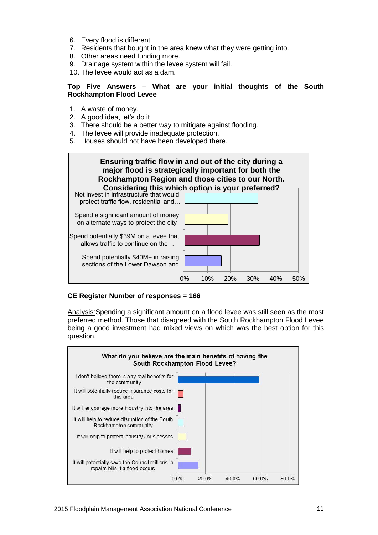- 6. Every flood is different.
- 7. Residents that bought in the area knew what they were getting into.
- 8. Other areas need funding more.
- 9. Drainage system within the levee system will fail.

10. The levee would act as a dam.

## **Top Five Answers – What are your initial thoughts of the South Rockhampton Flood Levee**

- 1. A waste of money.
- 2. A good idea, let's do it.
- 3. There should be a better way to mitigate against flooding.
- 4. The levee will provide inadequate protection.
- 5. Houses should not have been developed there.



# **CE Register Number of responses = 166**

Analysis:Spending a significant amount on a flood levee was still seen as the most preferred method. Those that disagreed with the South Rockhampton Flood Levee being a good investment had mixed views on which was the best option for this question.